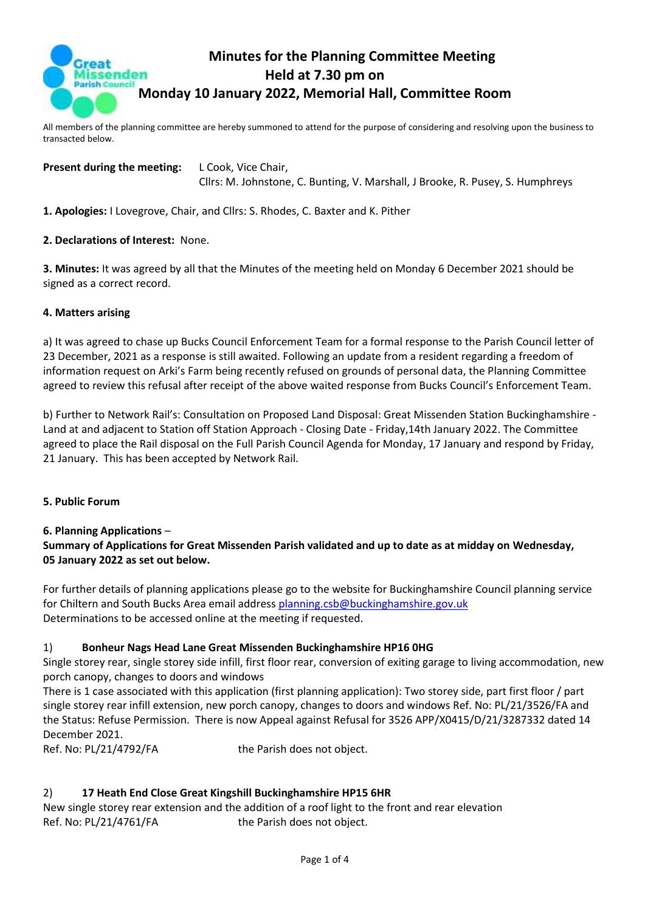

# **Minutes for the Planning Committee Meeting Held at 7.30 pm on Monday 10 January 2022, Memorial Hall, Committee Room**

All members of the planning committee are hereby summoned to attend for the purpose of considering and resolving upon the business to transacted below.

**Present during the meeting:** L Cook, Vice Chair, Cllrs: M. Johnstone, C. Bunting, V. Marshall, J Brooke, R. Pusey, S. Humphreys

**1. Apologies:** I Lovegrove, Chair, and Cllrs: S. Rhodes, C. Baxter and K. Pither

#### **2. Declarations of Interest:** None.

**3. Minutes:** It was agreed by all that the Minutes of the meeting held on Monday 6 December 2021 should be signed as a correct record.

#### **4. Matters arising**

a) It was agreed to chase up Bucks Council Enforcement Team for a formal response to the Parish Council letter of 23 December, 2021 as a response is still awaited. Following an update from a resident regarding a freedom of information request on Arki's Farm being recently refused on grounds of personal data, the Planning Committee agreed to review this refusal after receipt of the above waited response from Bucks Council's Enforcement Team.

b) Further to Network Rail's: Consultation on Proposed Land Disposal: Great Missenden Station Buckinghamshire - Land at and adjacent to Station off Station Approach - Closing Date - Friday,14th January 2022. The Committee agreed to place the Rail disposal on the Full Parish Council Agenda for Monday, 17 January and respond by Friday, 21 January. This has been accepted by Network Rail.

#### **5. Public Forum**

**6. Planning Applications** –

### **Summary of Applications for Great Missenden Parish validated and up to date as at midday on Wednesday, 05 January 2022 as set out below.**

For further details of planning applications please go to the website for Buckinghamshire Council planning service for Chiltern and South Bucks Area email address [planning.csb@buckinghamshire.gov.uk](mailto:planning.csb@buckinghamshire.gov.uk) Determinations to be accessed online at the meeting if requested.

#### 1) **Bonheur Nags Head Lane Great Missenden Buckinghamshire HP16 0HG**

Single storey rear, single storey side infill, first floor rear, conversion of exiting garage to living accommodation, new porch canopy, changes to doors and windows

There is 1 case associated with this application (first planning application): Two storey side, part first floor / part single storey rear infill extension, new porch canopy, changes to doors and windows Ref. No: PL/21/3526/FA and the Status: Refuse Permission. There is now Appeal against Refusal for 3526 APP/X0415/D/21/3287332 dated 14 December 2021.

Ref. No: PL/21/4792/FA the Parish does not object.

#### 2) **17 Heath End Close Great Kingshill Buckinghamshire HP15 6HR**

New single storey rear extension and the addition of a roof light to the front and rear elevation Ref. No: PL/21/4761/FA the Parish does not object.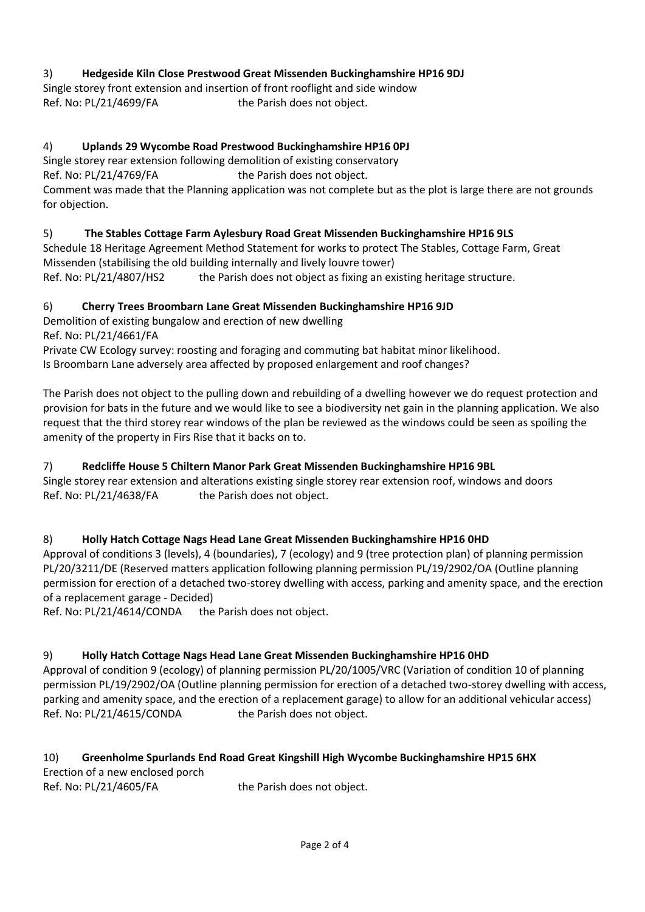## 3) **Hedgeside Kiln Close Prestwood Great Missenden Buckinghamshire HP16 9DJ**

Single storey front extension and insertion of front rooflight and side window Ref. No: PL/21/4699/FA the Parish does not object.

## 4) **Uplands 29 Wycombe Road Prestwood Buckinghamshire HP16 0PJ**

Single storey rear extension following demolition of existing conservatory

Ref. No: PL/21/4769/FA the Parish does not object.

Comment was made that the Planning application was not complete but as the plot is large there are not grounds for objection.

### 5) **The Stables Cottage Farm Aylesbury Road Great Missenden Buckinghamshire HP16 9LS**

Schedule 18 Heritage Agreement Method Statement for works to protect The Stables, Cottage Farm, Great Missenden (stabilising the old building internally and lively louvre tower) Ref. No:  $PL/21/4807/HS2$  the Parish does not object as fixing an existing heritage structure.

### 6) **Cherry Trees Broombarn Lane Great Missenden Buckinghamshire HP16 9JD**

Demolition of existing bungalow and erection of new dwelling Ref. No: PL/21/4661/FA

Private CW Ecology survey: roosting and foraging and commuting bat habitat minor likelihood. Is Broombarn Lane adversely area affected by proposed enlargement and roof changes?

The Parish does not object to the pulling down and rebuilding of a dwelling however we do request protection and provision for bats in the future and we would like to see a biodiversity net gain in the planning application. We also request that the third storey rear windows of the plan be reviewed as the windows could be seen as spoiling the amenity of the property in Firs Rise that it backs on to.

### 7) **Redcliffe House 5 Chiltern Manor Park Great Missenden Buckinghamshire HP16 9BL**

Single storey rear extension and alterations existing single storey rear extension roof, windows and doors Ref. No: PL/21/4638/FA the Parish does not object.

### 8) **Holly Hatch Cottage Nags Head Lane Great Missenden Buckinghamshire HP16 0HD**

Approval of conditions 3 (levels), 4 (boundaries), 7 (ecology) and 9 (tree protection plan) of planning permission PL/20/3211/DE (Reserved matters application following planning permission PL/19/2902/OA (Outline planning permission for erection of a detached two-storey dwelling with access, parking and amenity space, and the erection of a replacement garage - Decided)

Ref. No: PL/21/4614/CONDA the Parish does not object.

### 9) **Holly Hatch Cottage Nags Head Lane Great Missenden Buckinghamshire HP16 0HD**

Approval of condition 9 (ecology) of planning permission PL/20/1005/VRC (Variation of condition 10 of planning permission PL/19/2902/OA (Outline planning permission for erection of a detached two-storey dwelling with access, parking and amenity space, and the erection of a replacement garage) to allow for an additional vehicular access) Ref. No: PL/21/4615/CONDA the Parish does not object.

## 10) **Greenholme Spurlands End Road Great Kingshill High Wycombe Buckinghamshire HP15 6HX** Erection of a new enclosed porch

Ref. No: PL/21/4605/FA the Parish does not object.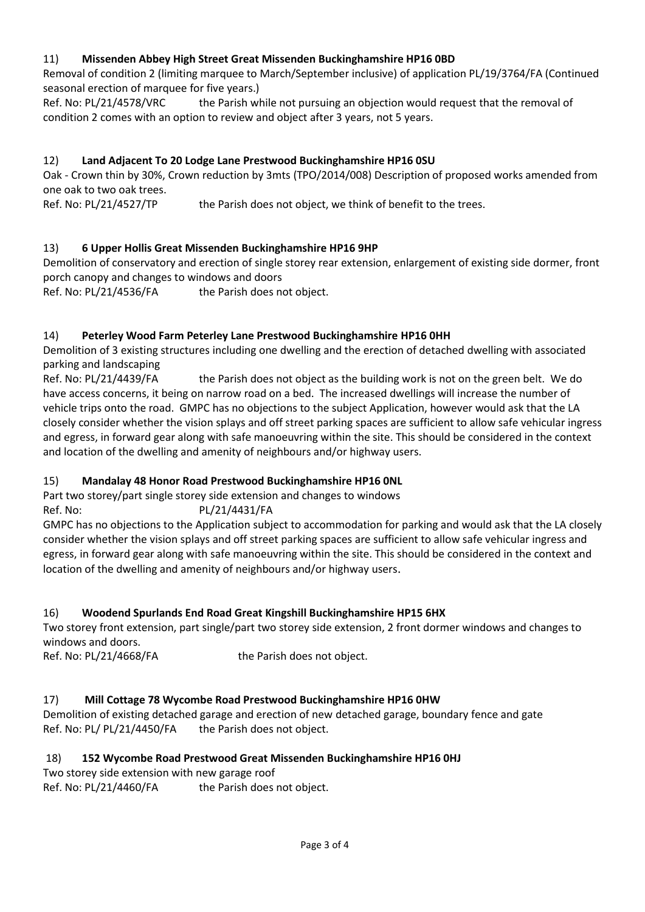### 11) **Missenden Abbey High Street Great Missenden Buckinghamshire HP16 0BD**

Removal of condition 2 (limiting marquee to March/September inclusive) of application PL/19/3764/FA (Continued seasonal erection of marquee for five years.)

Ref. No: PL/21/4578/VRC the Parish while not pursuing an objection would request that the removal of condition 2 comes with an option to review and object after 3 years, not 5 years.

#### 12) **Land Adjacent To 20 Lodge Lane Prestwood Buckinghamshire HP16 0SU**

Oak - Crown thin by 30%, Crown reduction by 3mts (TPO/2014/008) Description of proposed works amended from one oak to two oak trees.

Ref. No: PL/21/4527/TP the Parish does not object, we think of benefit to the trees.

### 13) **6 Upper Hollis Great Missenden Buckinghamshire HP16 9HP**

Demolition of conservatory and erection of single storey rear extension, enlargement of existing side dormer, front porch canopy and changes to windows and doors

Ref. No: PL/21/4536/FA the Parish does not object.

### 14) **Peterley Wood Farm Peterley Lane Prestwood Buckinghamshire HP16 0HH**

Demolition of 3 existing structures including one dwelling and the erection of detached dwelling with associated parking and landscaping

Ref. No: PL/21/4439/FA the Parish does not object as the building work is not on the green belt. We do have access concerns, it being on narrow road on a bed. The increased dwellings will increase the number of vehicle trips onto the road. GMPC has no objections to the subject Application, however would ask that the LA closely consider whether the vision splays and off street parking spaces are sufficient to allow safe vehicular ingress and egress, in forward gear along with safe manoeuvring within the site. This should be considered in the context and location of the dwelling and amenity of neighbours and/or highway users.

### 15) **Mandalay 48 Honor Road Prestwood Buckinghamshire HP16 0NL**

Part two storey/part single storey side extension and changes to windows

Ref. No: PL/21/4431/FA GMPC has no objections to the Application subject to accommodation for parking and would ask that the LA closely

consider whether the vision splays and off street parking spaces are sufficient to allow safe vehicular ingress and egress, in forward gear along with safe manoeuvring within the site. This should be considered in the context and location of the dwelling and amenity of neighbours and/or highway users.

### 16) **Woodend Spurlands End Road Great Kingshill Buckinghamshire HP15 6HX**

Two storey front extension, part single/part two storey side extension, 2 front dormer windows and changes to windows and doors.

Ref. No: PL/21/4668/FA the Parish does not object.

#### 17) **Mill Cottage 78 Wycombe Road Prestwood Buckinghamshire HP16 0HW**

Demolition of existing detached garage and erection of new detached garage, boundary fence and gate Ref. No: PL/ PL/21/4450/FA the Parish does not object.

#### 18) **152 Wycombe Road Prestwood Great Missenden Buckinghamshire HP16 0HJ**

Two storey side extension with new garage roof Ref. No: PL/21/4460/FA the Parish does not object.